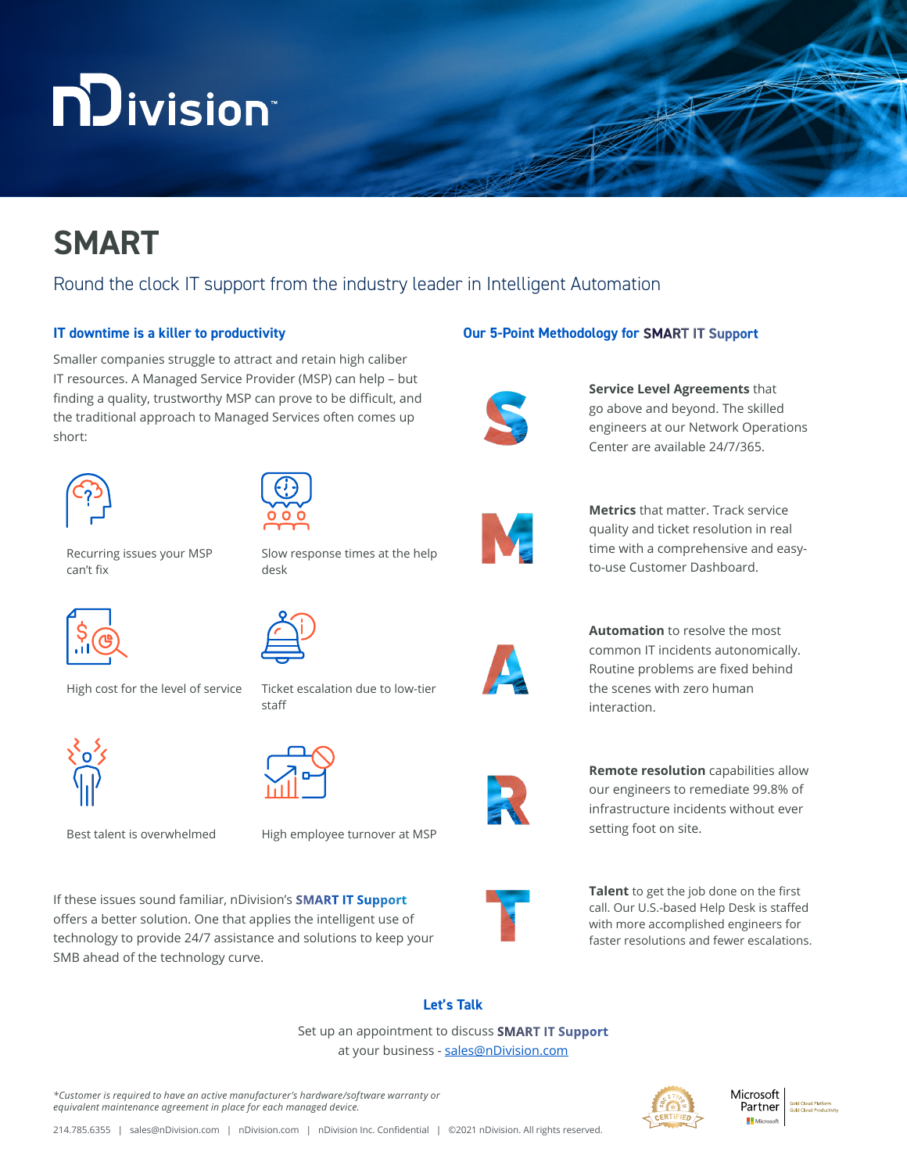# **n**Division®

## **SMART**

### Round the clock IT support from the industry leader in Intelligent Automation

#### **IT downtime is a killer to productivity**

Smaller companies struggle to attract and retain high caliber IT resources. A Managed Service Provider (MSP) can help – but finding a quality, trustworthy MSP can prove to be difficult, and the traditional approach to Managed Services often comes up short:





desk

Recurring issues your MSP can't fix



High cost for the level of service Ticket escalation due to low-tier



staff

Slow response times at the help



Best talent is overwhelmed High employee turnover at MSP

If these issues sound familiar, nDivision's **SMART IT Support**  offers a better solution. One that applies the intelligent use of technology to provide 24/7 assistance and solutions to keep your SMB ahead of the technology curve.

#### **Our 5-Point Methodology for SMART IT Support**



**Service Level Agreements** that go above and beyond. The skilled engineers at our Network Operations Center are available 24/7/365.



**Metrics that matter. Track service** quality and ticket resolution in real time with a comprehensive and easyto-use Customer Dashboard.



**Automation** to resolve the most common IT incidents autonomically. Routine problems are fixed behind the scenes with zero human interaction.



**Remote resolution** capabilities allow our engineers to remediate 99.8% of infrastructure incidents without ever setting foot on site.



**Talent** to get the job done on the first call. Our U.S.-based Help Desk is staffed with more accomplished engineers for faster resolutions and fewer escalations.

#### **Let's Talk**

Set up an appointment to discuss **SMART IT Support** at your business - [sales@nDivision.com](mailto:sales@nDivision.com)

*\*Customer is required to have an active manufacturer's hardware/software warranty or equivalent maintenance agreement in place for each managed device.*